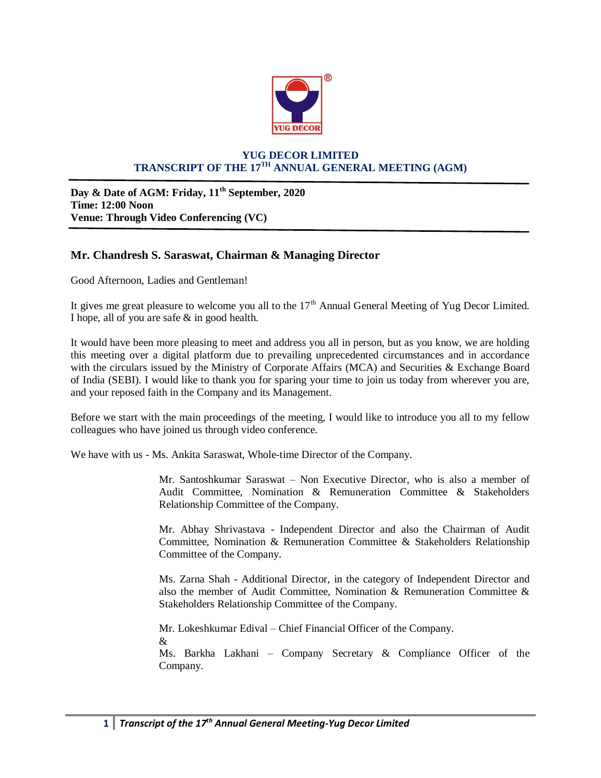

## **YUG DECOR LIMITED TRANSCRIPT OF THE 17TH ANNUAL GENERAL MEETING (AGM)**

**Day & Date of AGM: Friday, 11th September, 2020 Time: 12:00 Noon Venue: Through Video Conferencing (VC)**

## **Mr. Chandresh S. Saraswat, Chairman & Managing Director**

Good Afternoon, Ladies and Gentleman!

It gives me great pleasure to welcome you all to the  $17<sup>th</sup>$  Annual General Meeting of Yug Decor Limited. I hope, all of you are safe & in good health.

It would have been more pleasing to meet and address you all in person, but as you know, we are holding this meeting over a digital platform due to prevailing unprecedented circumstances and in accordance with the circulars issued by the Ministry of Corporate Affairs (MCA) and Securities & Exchange Board of India (SEBI). I would like to thank you for sparing your time to join us today from wherever you are, and your reposed faith in the Company and its Management.

Before we start with the main proceedings of the meeting, I would like to introduce you all to my fellow colleagues who have joined us through video conference.

We have with us - Ms. Ankita Saraswat, Whole-time Director of the Company.

Mr. Santoshkumar Saraswat – Non Executive Director, who is also a member of Audit Committee, Nomination & Remuneration Committee & Stakeholders Relationship Committee of the Company.

Mr. Abhay Shrivastava - Independent Director and also the Chairman of Audit Committee, Nomination & Remuneration Committee & Stakeholders Relationship Committee of the Company.

Ms. Zarna Shah - Additional Director, in the category of Independent Director and also the member of Audit Committee, Nomination & Remuneration Committee & Stakeholders Relationship Committee of the Company.

Mr. Lokeshkumar Edival – Chief Financial Officer of the Company. & Ms. Barkha Lakhani – Company Secretary & Compliance Officer of the Company.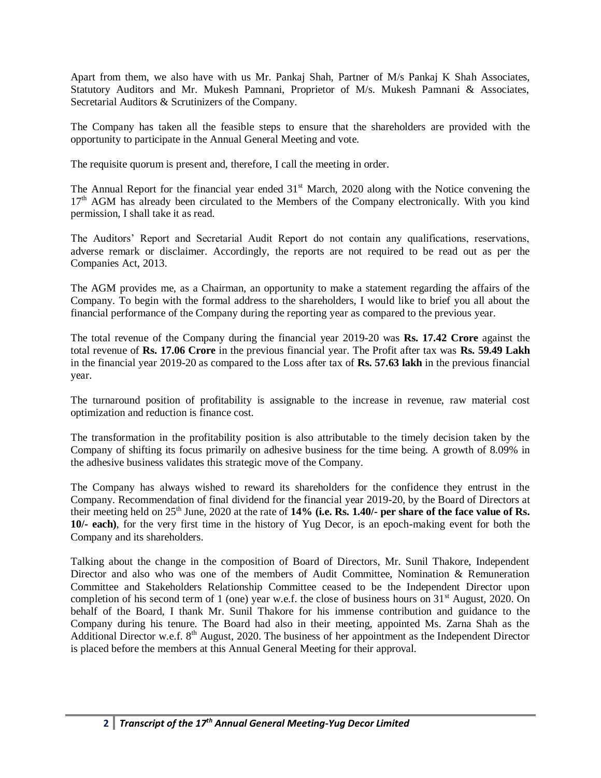Apart from them, we also have with us Mr. Pankaj Shah, Partner of M/s Pankaj K Shah Associates, Statutory Auditors and Mr. Mukesh Pamnani, Proprietor of M/s. Mukesh Pamnani & Associates, Secretarial Auditors & Scrutinizers of the Company.

The Company has taken all the feasible steps to ensure that the shareholders are provided with the opportunity to participate in the Annual General Meeting and vote.

The requisite quorum is present and, therefore, I call the meeting in order.

The Annual Report for the financial year ended  $31<sup>st</sup>$  March, 2020 along with the Notice convening the 17<sup>th</sup> AGM has already been circulated to the Members of the Company electronically. With you kind permission, I shall take it as read.

The Auditors' Report and Secretarial Audit Report do not contain any qualifications, reservations, adverse remark or disclaimer. Accordingly, the reports are not required to be read out as per the Companies Act, 2013.

The AGM provides me, as a Chairman, an opportunity to make a statement regarding the affairs of the Company. To begin with the formal address to the shareholders, I would like to brief you all about the financial performance of the Company during the reporting year as compared to the previous year.

The total revenue of the Company during the financial year 2019-20 was **Rs. 17.42 Crore** against the total revenue of **Rs. 17.06 Crore** in the previous financial year. The Profit after tax was **Rs. 59.49 Lakh**  in the financial year 2019-20 as compared to the Loss after tax of **Rs. 57.63 lakh** in the previous financial year.

The turnaround position of profitability is assignable to the increase in revenue, raw material cost optimization and reduction is finance cost.

The transformation in the profitability position is also attributable to the timely decision taken by the Company of shifting its focus primarily on adhesive business for the time being. A growth of 8.09% in the adhesive business validates this strategic move of the Company.

The Company has always wished to reward its shareholders for the confidence they entrust in the Company. Recommendation of final dividend for the financial year 2019-20, by the Board of Directors at their meeting held on 25th June, 2020 at the rate of **14% (i.e. Rs. 1.40/- per share of the face value of Rs. 10/- each)**, for the very first time in the history of Yug Decor, is an epoch-making event for both the Company and its shareholders.

Talking about the change in the composition of Board of Directors, Mr. Sunil Thakore, Independent Director and also who was one of the members of Audit Committee, Nomination & Remuneration Committee and Stakeholders Relationship Committee ceased to be the Independent Director upon completion of his second term of 1 (one) year w.e.f. the close of business hours on  $31<sup>st</sup>$  August, 2020. On behalf of the Board, I thank Mr. Sunil Thakore for his immense contribution and guidance to the Company during his tenure. The Board had also in their meeting, appointed Ms. Zarna Shah as the Additional Director w.e.f. 8<sup>th</sup> August, 2020. The business of her appointment as the Independent Director is placed before the members at this Annual General Meeting for their approval.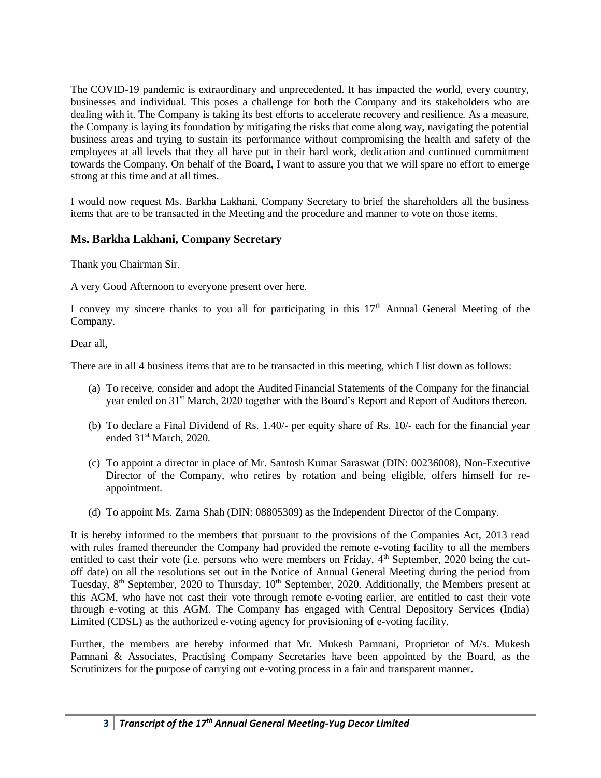The COVID-19 pandemic is extraordinary and unprecedented. It has impacted the world, every country, businesses and individual. This poses a challenge for both the Company and its stakeholders who are dealing with it. The Company is taking its best efforts to accelerate recovery and resilience. As a measure, the Company is laying its foundation by mitigating the risks that come along way, navigating the potential business areas and trying to sustain its performance without compromising the health and safety of the employees at all levels that they all have put in their hard work, dedication and continued commitment towards the Company. On behalf of the Board, I want to assure you that we will spare no effort to emerge strong at this time and at all times.

I would now request Ms. Barkha Lakhani, Company Secretary to brief the shareholders all the business items that are to be transacted in the Meeting and the procedure and manner to vote on those items.

## **Ms. Barkha Lakhani, Company Secretary**

Thank you Chairman Sir.

A very Good Afternoon to everyone present over here.

I convey my sincere thanks to you all for participating in this  $17<sup>th</sup>$  Annual General Meeting of the Company.

Dear all,

There are in all 4 business items that are to be transacted in this meeting, which I list down as follows:

- (a) To receive, consider and adopt the Audited Financial Statements of the Company for the financial year ended on 31<sup>st</sup> March, 2020 together with the Board's Report and Report of Auditors thereon.
- (b) To declare a Final Dividend of Rs. 1.40/- per equity share of Rs. 10/- each for the financial year ended 31<sup>st</sup> March, 2020.
- (c) To appoint a director in place of Mr. Santosh Kumar Saraswat (DIN: 00236008), Non-Executive Director of the Company, who retires by rotation and being eligible, offers himself for reappointment.
- (d) To appoint Ms. Zarna Shah (DIN: 08805309) as the Independent Director of the Company.

It is hereby informed to the members that pursuant to the provisions of the Companies Act, 2013 read with rules framed thereunder the Company had provided the remote e-voting facility to all the members entitled to cast their vote (i.e. persons who were members on Friday, 4<sup>th</sup> September, 2020 being the cutoff date) on all the resolutions set out in the Notice of Annual General Meeting during the period from Tuesday, 8<sup>th</sup> September, 2020 to Thursday, 10<sup>th</sup> September, 2020. Additionally, the Members present at this AGM, who have not cast their vote through remote e-voting earlier, are entitled to cast their vote through e-voting at this AGM. The Company has engaged with Central Depository Services (India) Limited (CDSL) as the authorized e-voting agency for provisioning of e-voting facility.

Further, the members are hereby informed that Mr. Mukesh Pamnani, Proprietor of M/s. Mukesh Pamnani & Associates, Practising Company Secretaries have been appointed by the Board, as the Scrutinizers for the purpose of carrying out e-voting process in a fair and transparent manner.